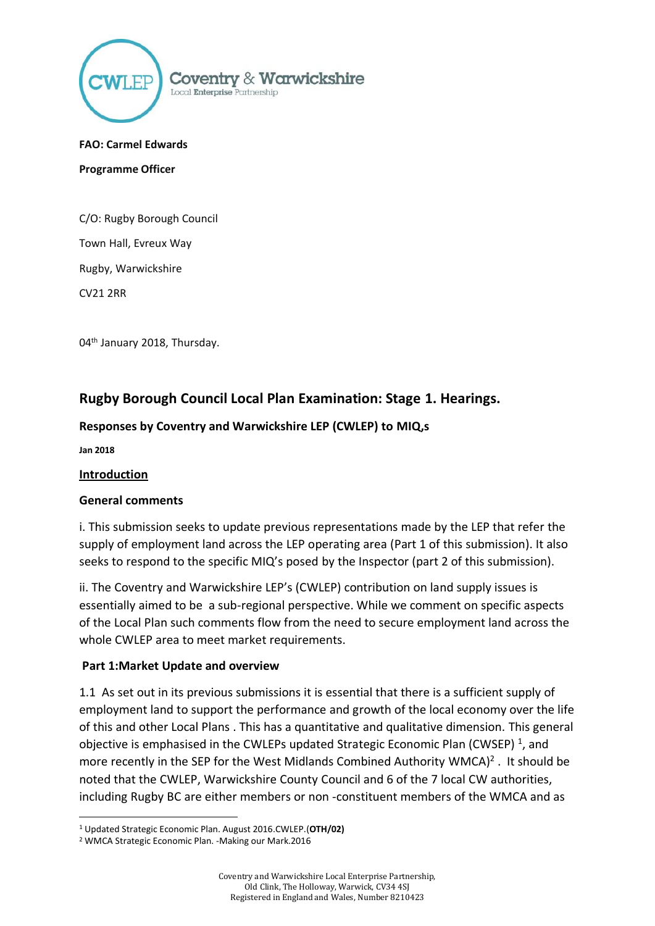

#### **FAO: Carmel Edwards**

**Programme Officer**

C/O: Rugby Borough Council Town Hall, Evreux Way Rugby, Warwickshire CV21 2RR

04<sup>th</sup> January 2018, Thursday.

# **Rugby Borough Council Local Plan Examination: Stage 1. Hearings.**

#### **Responses by Coventry and Warwickshire LEP (CWLEP) to MIQ,s**

**Jan 2018**

.

#### **Introduction**

#### **General comments**

i. This submission seeks to update previous representations made by the LEP that refer the supply of employment land across the LEP operating area (Part 1 of this submission). It also seeks to respond to the specific MIQ's posed by the Inspector (part 2 of this submission).

ii. The Coventry and Warwickshire LEP's (CWLEP) contribution on land supply issues is essentially aimed to be a sub-regional perspective. While we comment on specific aspects of the Local Plan such comments flow from the need to secure employment land across the whole CWLEP area to meet market requirements.

#### **Part 1:Market Update and overview**

1.1 As set out in its previous submissions it is essential that there is a sufficient supply of employment land to support the performance and growth of the local economy over the life of this and other Local Plans . This has a quantitative and qualitative dimension. This general objective is emphasised in the CWLEPs updated Strategic Economic Plan (CWSEP)<sup>1</sup>, and more recently in the SEP for the West Midlands Combined Authority WMCA $)^2$ . It should be noted that the CWLEP, Warwickshire County Council and 6 of the 7 local CW authorities, including Rugby BC are either members or non -constituent members of the WMCA and as

<sup>1</sup> Updated Strategic Economic Plan. August 2016.CWLEP.(**OTH/02)**

<sup>2</sup> WMCA Strategic Economic Plan. -Making our Mark.2016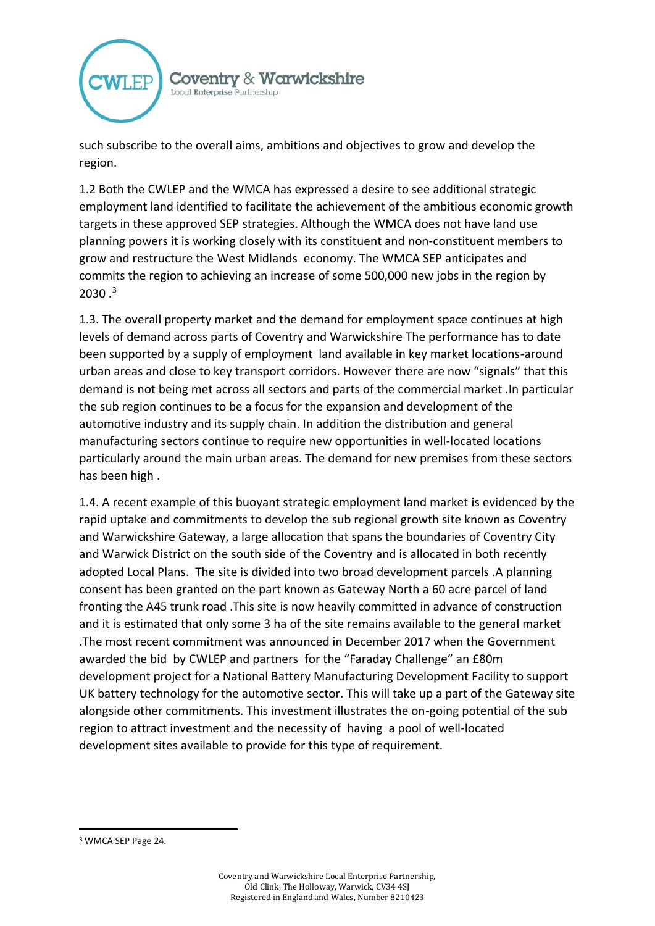

such subscribe to the overall aims, ambitions and objectives to grow and develop the region.

1.2 Both the CWLEP and the WMCA has expressed a desire to see additional strategic employment land identified to facilitate the achievement of the ambitious economic growth targets in these approved SEP strategies. Although the WMCA does not have land use planning powers it is working closely with its constituent and non-constituent members to grow and restructure the West Midlands economy. The WMCA SEP anticipates and commits the region to achieving an increase of some 500,000 new jobs in the region by  $2030.<sup>3</sup>$ 

1.3. The overall property market and the demand for employment space continues at high levels of demand across parts of Coventry and Warwickshire The performance has to date been supported by a supply of employment land available in key market locations-around urban areas and close to key transport corridors. However there are now "signals" that this demand is not being met across all sectors and parts of the commercial market .In particular the sub region continues to be a focus for the expansion and development of the automotive industry and its supply chain. In addition the distribution and general manufacturing sectors continue to require new opportunities in well-located locations particularly around the main urban areas. The demand for new premises from these sectors has been high .

1.4. A recent example of this buoyant strategic employment land market is evidenced by the rapid uptake and commitments to develop the sub regional growth site known as Coventry and Warwickshire Gateway, a large allocation that spans the boundaries of Coventry City and Warwick District on the south side of the Coventry and is allocated in both recently adopted Local Plans. The site is divided into two broad development parcels .A planning consent has been granted on the part known as Gateway North a 60 acre parcel of land fronting the A45 trunk road .This site is now heavily committed in advance of construction and it is estimated that only some 3 ha of the site remains available to the general market .The most recent commitment was announced in December 2017 when the Government awarded the bid by CWLEP and partners for the "Faraday Challenge" an £80m development project for a National Battery Manufacturing Development Facility to support UK battery technology for the automotive sector. This will take up a part of the Gateway site alongside other commitments. This investment illustrates the on-going potential of the sub region to attract investment and the necessity of having a pool of well-located development sites available to provide for this type of requirement.

1

<sup>3</sup> WMCA SEP Page 24.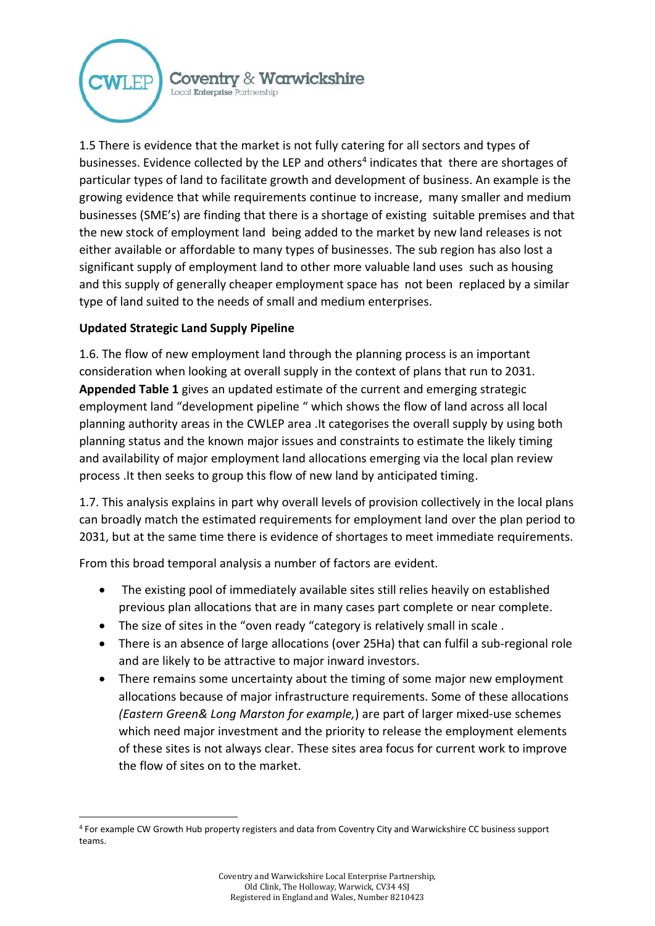

1.5 There is evidence that the market is not fully catering for all sectors and types of businesses. Evidence collected by the LEP and others<sup>4</sup> indicates that there are shortages of particular types of land to facilitate growth and development of business. An example is the growing evidence that while requirements continue to increase, many smaller and medium businesses (SME's) are finding that there is a shortage of existing suitable premises and that the new stock of employment land being added to the market by new land releases is not either available or affordable to many types of businesses. The sub region has also lost a significant supply of employment land to other more valuable land uses such as housing and this supply of generally cheaper employment space has not been replaced by a similar type of land suited to the needs of small and medium enterprises.

## **Updated Strategic Land Supply Pipeline**

.

1.6. The flow of new employment land through the planning process is an important consideration when looking at overall supply in the context of plans that run to 2031. **Appended Table 1** gives an updated estimate of the current and emerging strategic employment land "development pipeline " which shows the flow of land across all local planning authority areas in the CWLEP area .It categorises the overall supply by using both planning status and the known major issues and constraints to estimate the likely timing and availability of major employment land allocations emerging via the local plan review process .It then seeks to group this flow of new land by anticipated timing.

1.7. This analysis explains in part why overall levels of provision collectively in the local plans can broadly match the estimated requirements for employment land over the plan period to 2031, but at the same time there is evidence of shortages to meet immediate requirements.

From this broad temporal analysis a number of factors are evident.

- The existing pool of immediately available sites still relies heavily on established previous plan allocations that are in many cases part complete or near complete.
- The size of sites in the "oven ready "category is relatively small in scale .
- There is an absence of large allocations (over 25Ha) that can fulfil a sub-regional role and are likely to be attractive to major inward investors.
- There remains some uncertainty about the timing of some major new employment allocations because of major infrastructure requirements. Some of these allocations *(Eastern Green& Long Marston for example,*) are part of larger mixed-use schemes which need major investment and the priority to release the employment elements of these sites is not always clear. These sites area focus for current work to improve the flow of sites on to the market.

<sup>4</sup> For example CW Growth Hub property registers and data from Coventry City and Warwickshire CC business support teams.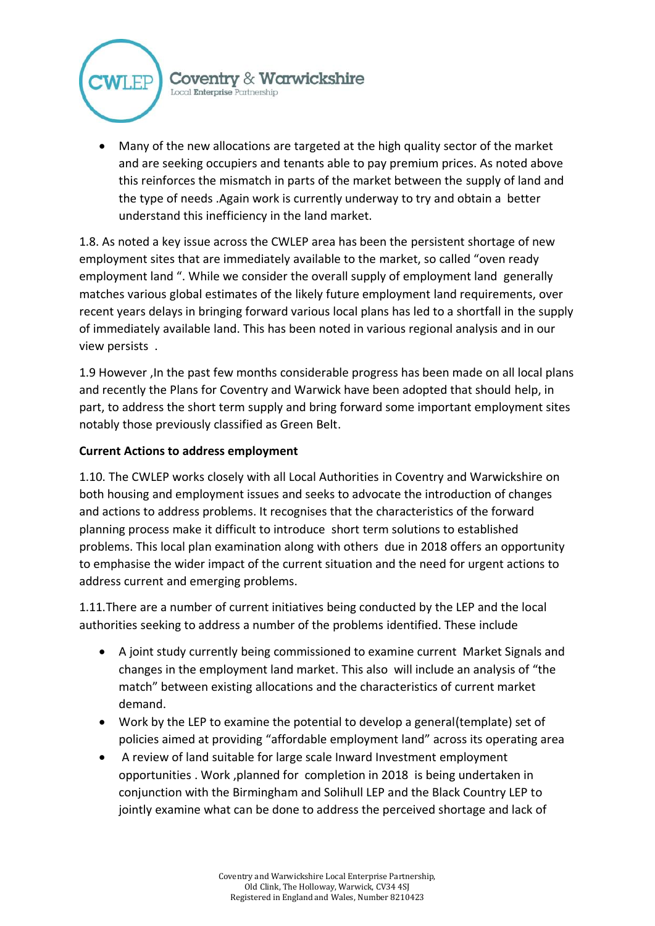

• Many of the new allocations are targeted at the high quality sector of the market and are seeking occupiers and tenants able to pay premium prices. As noted above this reinforces the mismatch in parts of the market between the supply of land and the type of needs .Again work is currently underway to try and obtain a better understand this inefficiency in the land market.

1.8. As noted a key issue across the CWLEP area has been the persistent shortage of new employment sites that are immediately available to the market, so called "oven ready employment land ". While we consider the overall supply of employment land generally matches various global estimates of the likely future employment land requirements, over recent years delays in bringing forward various local plans has led to a shortfall in the supply of immediately available land. This has been noted in various regional analysis and in our view persists .

1.9 However ,In the past few months considerable progress has been made on all local plans and recently the Plans for Coventry and Warwick have been adopted that should help, in part, to address the short term supply and bring forward some important employment sites notably those previously classified as Green Belt.

## **Current Actions to address employment**

1.10. The CWLEP works closely with all Local Authorities in Coventry and Warwickshire on both housing and employment issues and seeks to advocate the introduction of changes and actions to address problems. It recognises that the characteristics of the forward planning process make it difficult to introduce short term solutions to established problems. This local plan examination along with others due in 2018 offers an opportunity to emphasise the wider impact of the current situation and the need for urgent actions to address current and emerging problems.

1.11.There are a number of current initiatives being conducted by the LEP and the local authorities seeking to address a number of the problems identified. These include

- A joint study currently being commissioned to examine current Market Signals and changes in the employment land market. This also will include an analysis of "the match" between existing allocations and the characteristics of current market demand.
- Work by the LEP to examine the potential to develop a general(template) set of policies aimed at providing "affordable employment land" across its operating area
- A review of land suitable for large scale Inward Investment employment opportunities . Work ,planned for completion in 2018 is being undertaken in conjunction with the Birmingham and Solihull LEP and the Black Country LEP to jointly examine what can be done to address the perceived shortage and lack of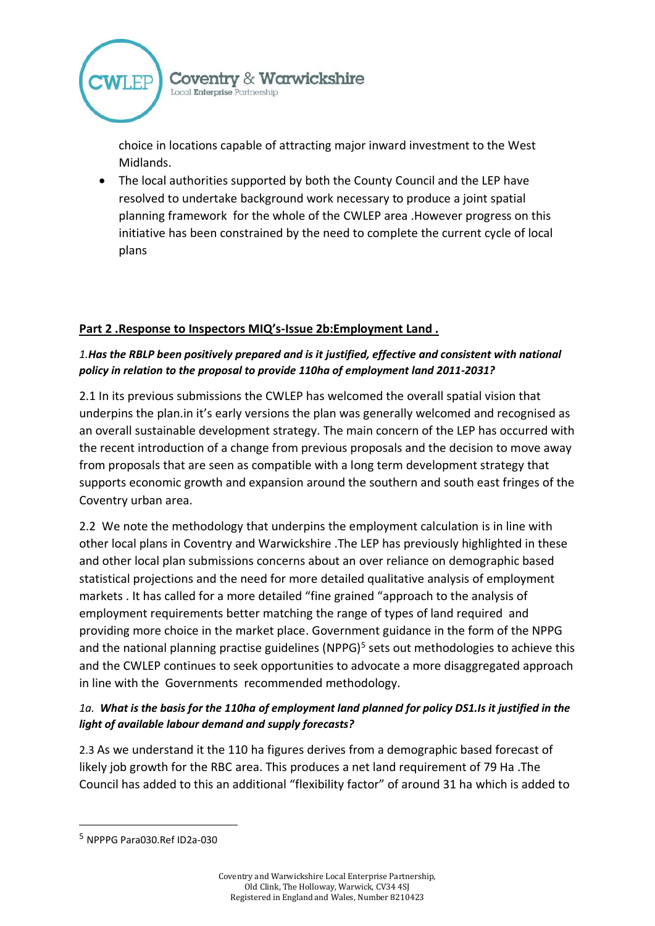

choice in locations capable of attracting major inward investment to the West Midlands.

• The local authorities supported by both the County Council and the LEP have resolved to undertake background work necessary to produce a joint spatial planning framework for the whole of the CWLEP area .However progress on this initiative has been constrained by the need to complete the current cycle of local plans

### **Part 2 .Response to Inspectors MIQ's-Issue 2b:Employment Land .**

## *1.Has the RBLP been positively prepared and is it justified, effective and consistent with national policy in relation to the proposal to provide 110ha of employment land 2011-2031?*

2.1 In its previous submissions the CWLEP has welcomed the overall spatial vision that underpins the plan.in it's early versions the plan was generally welcomed and recognised as an overall sustainable development strategy. The main concern of the LEP has occurred with the recent introduction of a change from previous proposals and the decision to move away from proposals that are seen as compatible with a long term development strategy that supports economic growth and expansion around the southern and south east fringes of the Coventry urban area.

2.2 We note the methodology that underpins the employment calculation is in line with other local plans in Coventry and Warwickshire .The LEP has previously highlighted in these and other local plan submissions concerns about an over reliance on demographic based statistical projections and the need for more detailed qualitative analysis of employment markets . It has called for a more detailed "fine grained "approach to the analysis of employment requirements better matching the range of types of land required and providing more choice in the market place. Government guidance in the form of the NPPG and the national planning practise guidelines (NPPG)<sup>5</sup> sets out methodologies to achieve this and the CWLEP continues to seek opportunities to advocate a more disaggregated approach in line with the Governments recommended methodology.

## *1a. What is the basis for the 110ha of employment land planned for policy DS1.Is it justified in the light of available labour demand and supply forecasts?*

2.3 As we understand it the 110 ha figures derives from a demographic based forecast of likely job growth for the RBC area. This produces a net land requirement of 79 Ha .The Council has added to this an additional "flexibility factor" of around 31 ha which is added to

1

<sup>5</sup> NPPPG Para030.Ref ID2a-030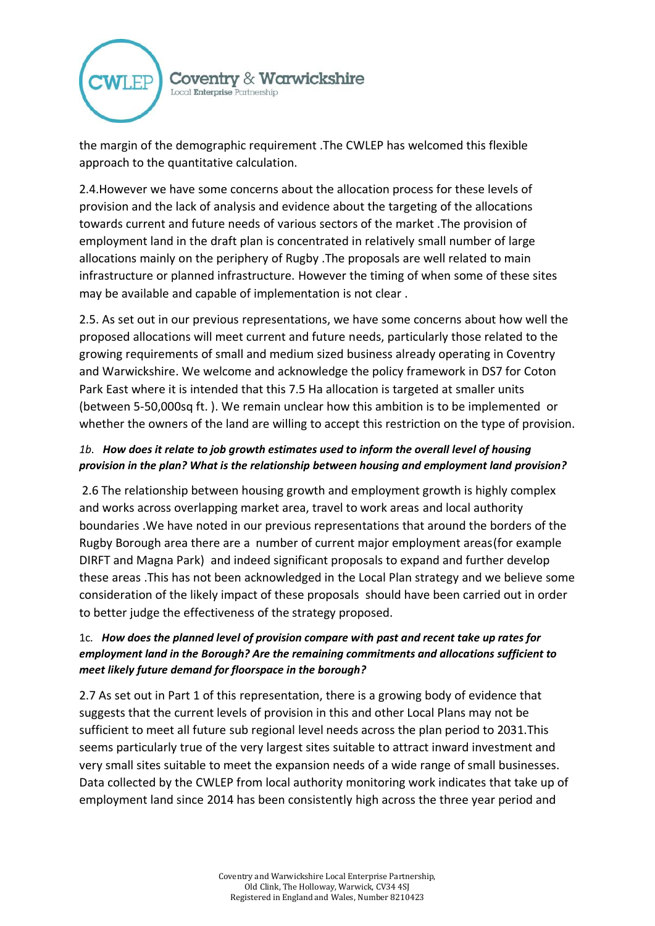

the margin of the demographic requirement .The CWLEP has welcomed this flexible approach to the quantitative calculation.

2.4.However we have some concerns about the allocation process for these levels of provision and the lack of analysis and evidence about the targeting of the allocations towards current and future needs of various sectors of the market .The provision of employment land in the draft plan is concentrated in relatively small number of large allocations mainly on the periphery of Rugby .The proposals are well related to main infrastructure or planned infrastructure. However the timing of when some of these sites may be available and capable of implementation is not clear .

2.5. As set out in our previous representations, we have some concerns about how well the proposed allocations will meet current and future needs, particularly those related to the growing requirements of small and medium sized business already operating in Coventry and Warwickshire. We welcome and acknowledge the policy framework in DS7 for Coton Park East where it is intended that this 7.5 Ha allocation is targeted at smaller units (between 5-50,000sq ft. ). We remain unclear how this ambition is to be implemented or whether the owners of the land are willing to accept this restriction on the type of provision.

### *1b. How does it relate to job growth estimates used to inform the overall level of housing provision in the plan? What is the relationship between housing and employment land provision?*

2.6 The relationship between housing growth and employment growth is highly complex and works across overlapping market area, travel to work areas and local authority boundaries .We have noted in our previous representations that around the borders of the Rugby Borough area there are a number of current major employment areas(for example DIRFT and Magna Park) and indeed significant proposals to expand and further develop these areas .This has not been acknowledged in the Local Plan strategy and we believe some consideration of the likely impact of these proposals should have been carried out in order to better judge the effectiveness of the strategy proposed.

## 1c*. How does the planned level of provision compare with past and recent take up rates for employment land in the Borough? Are the remaining commitments and allocations sufficient to meet likely future demand for floorspace in the borough?*

2.7 As set out in Part 1 of this representation, there is a growing body of evidence that suggests that the current levels of provision in this and other Local Plans may not be sufficient to meet all future sub regional level needs across the plan period to 2031.This seems particularly true of the very largest sites suitable to attract inward investment and very small sites suitable to meet the expansion needs of a wide range of small businesses. Data collected by the CWLEP from local authority monitoring work indicates that take up of employment land since 2014 has been consistently high across the three year period and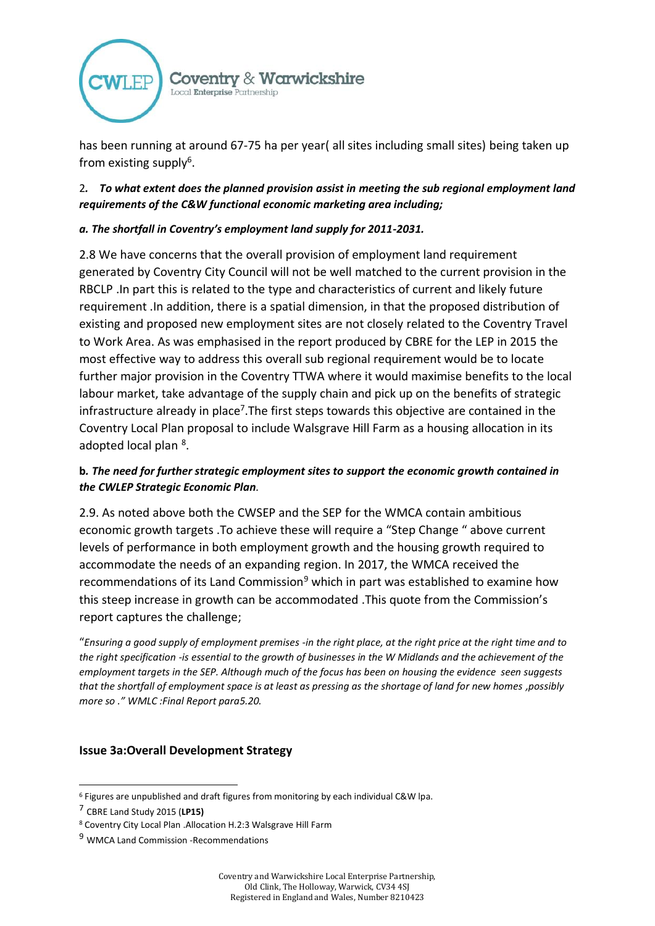

has been running at around 67-75 ha per year( all sites including small sites) being taken up from existing supply<sup>6</sup>.

2*. To what extent does the planned provision assist in meeting the sub regional employment land requirements of the C&W functional economic marketing area including;*

#### *a. The shortfall in Coventry's employment land supply for 2011-2031.*

2.8 We have concerns that the overall provision of employment land requirement generated by Coventry City Council will not be well matched to the current provision in the RBCLP .In part this is related to the type and characteristics of current and likely future requirement .In addition, there is a spatial dimension, in that the proposed distribution of existing and proposed new employment sites are not closely related to the Coventry Travel to Work Area. As was emphasised in the report produced by CBRE for the LEP in 2015 the most effective way to address this overall sub regional requirement would be to locate further major provision in the Coventry TTWA where it would maximise benefits to the local labour market, take advantage of the supply chain and pick up on the benefits of strategic infrastructure already in place<sup>7</sup>. The first steps towards this objective are contained in the Coventry Local Plan proposal to include Walsgrave Hill Farm as a housing allocation in its adopted local plan <sup>8</sup>.

### **b***. The need for further strategic employment sites to support the economic growth contained in the CWLEP Strategic Economic Plan.*

2.9. As noted above both the CWSEP and the SEP for the WMCA contain ambitious economic growth targets .To achieve these will require a "Step Change " above current levels of performance in both employment growth and the housing growth required to accommodate the needs of an expanding region. In 2017, the WMCA received the recommendations of its Land Commission<sup>9</sup> which in part was established to examine how this steep increase in growth can be accommodated .This quote from the Commission's report captures the challenge;

"*Ensuring a good supply of employment premises -in the right place, at the right price at the right time and to the right specification -is essential to the growth of businesses in the W Midlands and the achievement of the employment targets in the SEP. Although much of the focus has been on housing the evidence seen suggests that the shortfall of employment space is at least as pressing as the shortage of land for new homes ,possibly more so ." WMLC :Final Report para5.20.*

#### **Issue 3a:Overall Development Strategy**

.

<sup>6</sup> Figures are unpublished and draft figures from monitoring by each individual C&W lpa.

<sup>7</sup> CBRE Land Study 2015 (**LP15)**

<sup>8</sup> Coventry City Local Plan .Allocation H.2:3 Walsgrave Hill Farm

<sup>9</sup> WMCA Land Commission -Recommendations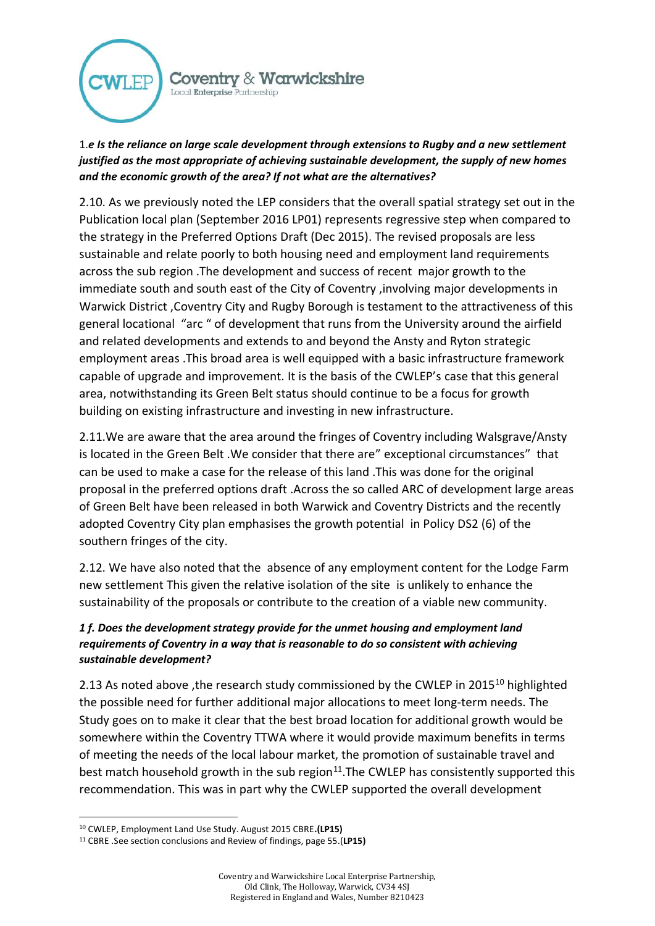

## 1.*e Is the reliance on large scale development through extensions to Rugby and a new settlement justified as the most appropriate of achieving sustainable development, the supply of new homes and the economic growth of the area? If not what are the alternatives?*

2.10. As we previously noted the LEP considers that the overall spatial strategy set out in the Publication local plan (September 2016 LP01) represents regressive step when compared to the strategy in the Preferred Options Draft (Dec 2015). The revised proposals are less sustainable and relate poorly to both housing need and employment land requirements across the sub region .The development and success of recent major growth to the immediate south and south east of the City of Coventry ,involving major developments in Warwick District ,Coventry City and Rugby Borough is testament to the attractiveness of this general locational "arc " of development that runs from the University around the airfield and related developments and extends to and beyond the Ansty and Ryton strategic employment areas .This broad area is well equipped with a basic infrastructure framework capable of upgrade and improvement. It is the basis of the CWLEP's case that this general area, notwithstanding its Green Belt status should continue to be a focus for growth building on existing infrastructure and investing in new infrastructure.

2.11.We are aware that the area around the fringes of Coventry including Walsgrave/Ansty is located in the Green Belt .We consider that there are" exceptional circumstances" that can be used to make a case for the release of this land .This was done for the original proposal in the preferred options draft .Across the so called ARC of development large areas of Green Belt have been released in both Warwick and Coventry Districts and the recently adopted Coventry City plan emphasises the growth potential in Policy DS2 (6) of the southern fringes of the city.

2.12. We have also noted that the absence of any employment content for the Lodge Farm new settlement This given the relative isolation of the site is unlikely to enhance the sustainability of the proposals or contribute to the creation of a viable new community.

## *1 f. Does the development strategy provide for the unmet housing and employment land requirements of Coventry in a way that is reasonable to do so consistent with achieving sustainable development?*

2.13 As noted above , the research study commissioned by the CWLEP in 2015<sup>10</sup> highlighted the possible need for further additional major allocations to meet long-term needs. The Study goes on to make it clear that the best broad location for additional growth would be somewhere within the Coventry TTWA where it would provide maximum benefits in terms of meeting the needs of the local labour market, the promotion of sustainable travel and best match household growth in the sub region $11$ . The CWLEP has consistently supported this recommendation. This was in part why the CWLEP supported the overall development

.

<sup>10</sup> CWLEP, Employment Land Use Study. August 2015 CBRE**.(LP15)**

<sup>11</sup> CBRE .See section conclusions and Review of findings, page 55.(**LP15)**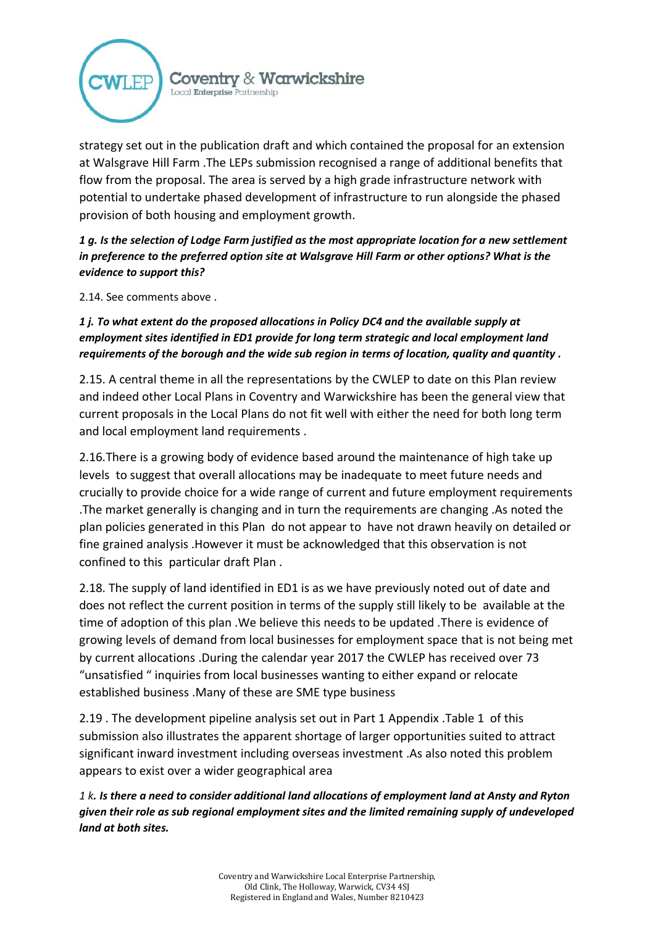

strategy set out in the publication draft and which contained the proposal for an extension at Walsgrave Hill Farm .The LEPs submission recognised a range of additional benefits that flow from the proposal. The area is served by a high grade infrastructure network with potential to undertake phased development of infrastructure to run alongside the phased provision of both housing and employment growth.

*1 g. Is the selection of Lodge Farm justified as the most appropriate location for a new settlement in preference to the preferred option site at Walsgrave Hill Farm or other options? What is the evidence to support this?*

2.14. See comments above .

## *1 j. To what extent do the proposed allocations in Policy DC4 and the available supply at employment sites identified in ED1 provide for long term strategic and local employment land requirements of the borough and the wide sub region in terms of location, quality and quantity .*

2.15. A central theme in all the representations by the CWLEP to date on this Plan review and indeed other Local Plans in Coventry and Warwickshire has been the general view that current proposals in the Local Plans do not fit well with either the need for both long term and local employment land requirements .

2.16.There is a growing body of evidence based around the maintenance of high take up levels to suggest that overall allocations may be inadequate to meet future needs and crucially to provide choice for a wide range of current and future employment requirements .The market generally is changing and in turn the requirements are changing .As noted the plan policies generated in this Plan do not appear to have not drawn heavily on detailed or fine grained analysis .However it must be acknowledged that this observation is not confined to this particular draft Plan .

2.18. The supply of land identified in ED1 is as we have previously noted out of date and does not reflect the current position in terms of the supply still likely to be available at the time of adoption of this plan .We believe this needs to be updated .There is evidence of growing levels of demand from local businesses for employment space that is not being met by current allocations .During the calendar year 2017 the CWLEP has received over 73 "unsatisfied " inquiries from local businesses wanting to either expand or relocate established business .Many of these are SME type business

2.19 . The development pipeline analysis set out in Part 1 Appendix .Table 1 of this submission also illustrates the apparent shortage of larger opportunities suited to attract significant inward investment including overseas investment .As also noted this problem appears to exist over a wider geographical area

*1 k. Is there a need to consider additional land allocations of employment land at Ansty and Ryton given their role as sub regional employment sites and the limited remaining supply of undeveloped land at both sites.*